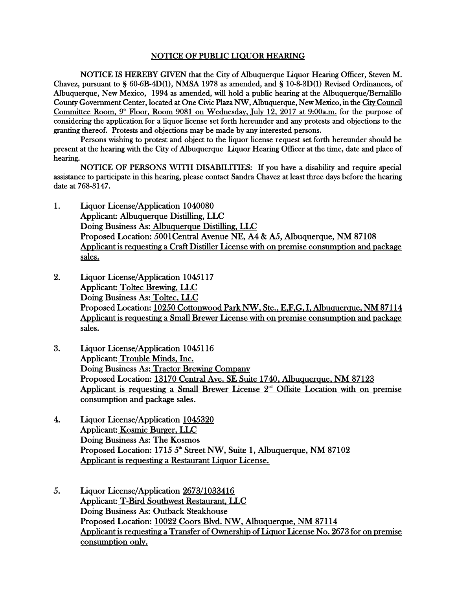## NOTICE OF PUBLIC LIQUOR HEARING

NOTICE IS HEREBY GIVEN that the City of Albuquerque Liquor Hearing Officer, Steven M. Chavez, pursuant to § 60-6B-4D(1), NMSA 1978 as amended, and § 10-8-3D(1) Revised Ordinances, of Albuquerque, New Mexico, 1994 as amended, will hold a public hearing at the Albuquerque/Bernalillo County Government Center, located at One Civic Plaza NW, Albuquerque, New Mexico, in the City Council Committee Room, 9<sup>th</sup> Floor, Room 9081 on Wednesday, July 12, 2017 at 9:00a.m. for the purpose of considering the application for a liquor license set forth hereunder and any protests and objections to the granting thereof. Protests and objections may be made by any interested persons.

Persons wishing to protest and object to the liquor license request set forth hereunder should be present at the hearing with the City of Albuquerque Liquor Hearing Officer at the time, date and place of hearing.

NOTICE OF PERSONS WITH DISABILITIES: If you have a disability and require special assistance to participate in this hearing, please contact Sandra Chavez at least three days before the hearing date at 768-3147.

- 1. Liquor License/Application 1040080 Applicant: Albuquerque Distilling, LLC Doing Business As: Albuquerque Distilling, LLC Proposed Location: 5001Central Avenue NE, A4 & A5, Albuquerque, NM 87108 Applicant is requesting a Craft Distiller License with on premise consumption and package sales.
- 2. Liquor License/Application 1045117 Applicant: Toltec Brewing, LLC Doing Business As: Toltec, LLC Proposed Location: 10250 Cottonwood Park NW, Ste., E,F,G, I, Albuquerque, NM 87114 Applicant is requesting a Small Brewer License with on premise consumption and package sales.
- 3. Liquor License/Application 1045116 Applicant: Trouble Minds, Inc. Doing Business As: Tractor Brewing Company Proposed Location: 13170 Central Ave. SE Suite 1740, Albuquerque, NM 87123 Applicant is requesting a Small Brewer License  $2<sup>nd</sup>$  Offsite Location with on premise consumption and package sales.
- 4. Liquor License/Application 1045320 Applicant: Kosmic Burger, LLC Doing Business As: The Kosmos Proposed Location: 1715 5<sup>th</sup> Street NW, Suite 1, Albuquerque, NM 87102 Applicant is requesting a Restaurant Liquor License.
- 5. Liquor License/Application 2673/1033416 Applicant: T-Bird Southwest Restaurant, LLC Doing Business As: Outback Steakhouse Proposed Location: 10022 Coors Blvd. NW, Albuquerque, NM 87114 Applicant is requesting a Transfer of Ownership of Liquor License No. 2673 for on premise consumption only.